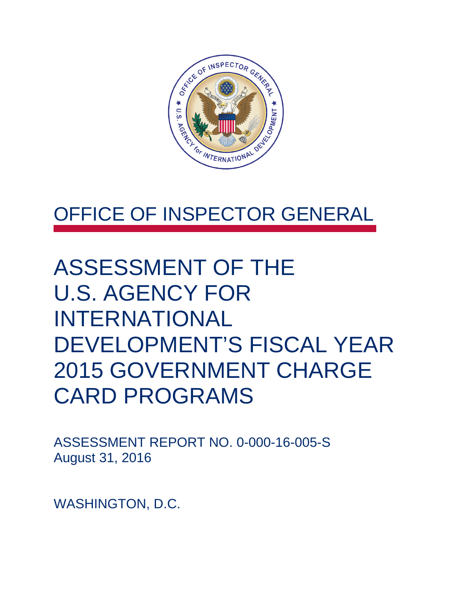

### OFFICE OF INSPECTOR GENERAL

## ASSESSMENT OF THE U.S. AGENCY FOR INTERNATIONAL DEVELOPMENT'S FISCAL YEAR 2015 GOVERNMENT CHARGE CARD PROGRAMS

ASSESSMENT REPORT NO. 0-000-16-005-S August 31, 2016

WASHINGTON, D.C.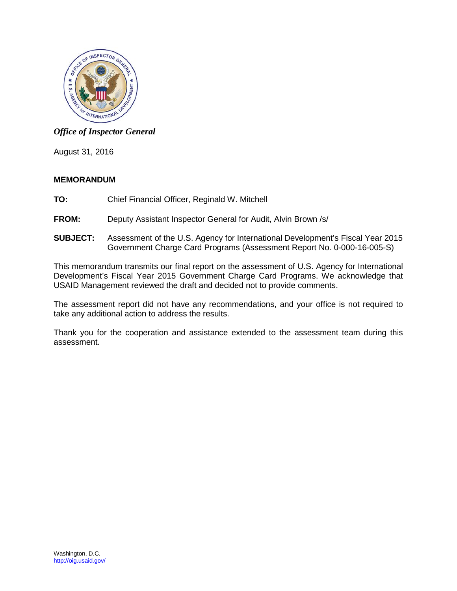

#### *Office of Inspector General*

August 31, 2016

#### **MEMORANDUM**

- **TO:** Chief Financial Officer, Reginald W. Mitchell
- **FROM:** Deputy Assistant Inspector General for Audit, Alvin Brown /s/
- **SUBJECT:** Assessment of the U.S. Agency for International Development's Fiscal Year 2015 Government Charge Card Programs (Assessment Report No. 0-000-16-005-S)

This memorandum transmits our final report on the assessment of U.S. Agency for International Development's Fiscal Year 2015 Government Charge Card Programs. We acknowledge that USAID Management reviewed the draft and decided not to provide comments.

The assessment report did not have any recommendations, and your office is not required to take any additional action to address the results.

Thank you for the cooperation and assistance extended to the assessment team during this assessment.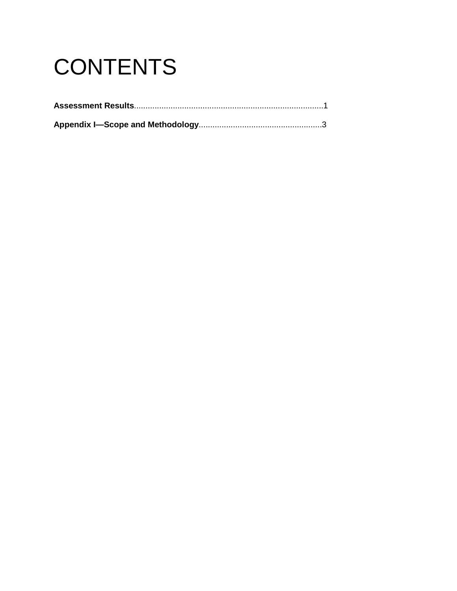# **CONTENTS**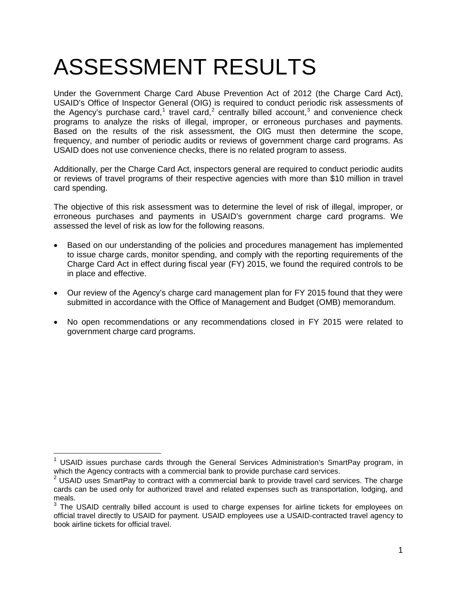## ASSESSMENT RESULTS

Under the Government Charge Card Abuse Prevention Act of 2012 (the Charge Card Act), USAID's Office of Inspector General (OIG) is required to conduct periodic risk assessments of the Agency's purchase card,<sup>[1](#page-3-0)</sup> travel card,<sup>[2](#page-3-1)</sup> centrally billed account,<sup>[3](#page-3-2)</sup> and convenience check programs to analyze the risks of illegal, improper, or erroneous purchases and payments. Based on the results of the risk assessment, the OIG must then determine the scope, frequency, and number of periodic audits or reviews of government charge card programs. As USAID does not use convenience checks, there is no related program to assess.

Additionally, per the Charge Card Act, inspectors general are required to conduct periodic audits or reviews of travel programs of their respective agencies with more than \$10 million in travel card spending.

The objective of this risk assessment was to determine the level of risk of illegal, improper, or erroneous purchases and payments in USAID's government charge card programs. We assessed the level of risk as low for the following reasons.

- Based on our understanding of the policies and procedures management has implemented to issue charge cards, monitor spending, and comply with the reporting requirements of the Charge Card Act in effect during fiscal year (FY) 2015, we found the required controls to be in place and effective.
- Our review of the Agency's charge card management plan for FY 2015 found that they were submitted in accordance with the Office of Management and Budget (OMB) memorandum.
- No open recommendations or any recommendations closed in FY 2015 were related to government charge card programs.

 $\overline{a}$ 

<span id="page-3-0"></span> $1$  USAID issues purchase cards through the General Services Administration's SmartPay program, in which the Agency contracts with a commercial bank to provide purchase card services.

<span id="page-3-1"></span> $2$  USAID uses SmartPay to contract with a commercial bank to provide travel card services. The charge cards can be used only for authorized travel and related expenses such as transportation, lodging, and meals.

<span id="page-3-2"></span> $3$  The USAID centrally billed account is used to charge expenses for airline tickets for employees on official travel directly to USAID for payment. USAID employees use a USAID-contracted travel agency to book airline tickets for official travel.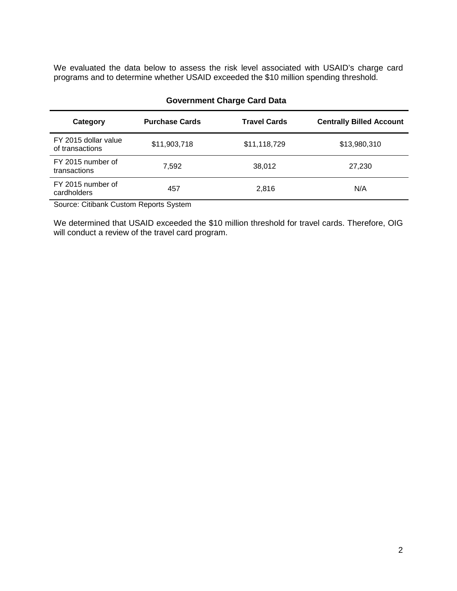We evaluated the data below to assess the risk level associated with USAID's charge card programs and to determine whether USAID exceeded the \$10 million spending threshold.

| Category                                | <b>Purchase Cards</b> | <b>Travel Cards</b> | <b>Centrally Billed Account</b> |
|-----------------------------------------|-----------------------|---------------------|---------------------------------|
| FY 2015 dollar value<br>of transactions | \$11,903,718          | \$11,118,729        | \$13,980,310                    |
| FY 2015 number of<br>transactions       | 7,592                 | 38,012              | 27,230                          |
| FY 2015 number of<br>cardholders        | 457                   | 2,816               | N/A                             |
|                                         |                       |                     |                                 |

#### **Government Charge Card Data**

Source: Citibank Custom Reports System

We determined that USAID exceeded the \$10 million threshold for travel cards. Therefore, OIG will conduct a review of the travel card program.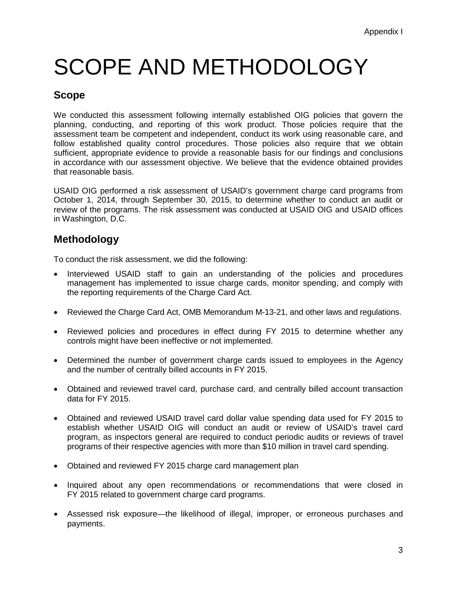# SCOPE AND METHODOLOGY

### **Scope**

We conducted this assessment following internally established OIG policies that govern the planning, conducting, and reporting of this work product. Those policies require that the assessment team be competent and independent, conduct its work using reasonable care, and follow established quality control procedures. Those policies also require that we obtain sufficient, appropriate evidence to provide a reasonable basis for our findings and conclusions in accordance with our assessment objective. We believe that the evidence obtained provides that reasonable basis.

USAID OIG performed a risk assessment of USAID's government charge card programs from October 1, 2014, through September 30, 2015, to determine whether to conduct an audit or review of the programs. The risk assessment was conducted at USAID OIG and USAID offices in Washington, D.C.

### **Methodology**

To conduct the risk assessment, we did the following:

- Interviewed USAID staff to gain an understanding of the policies and procedures management has implemented to issue charge cards, monitor spending, and comply with the reporting requirements of the Charge Card Act.
- Reviewed the Charge Card Act, OMB Memorandum M-13-21, and other laws and regulations.
- Reviewed policies and procedures in effect during FY 2015 to determine whether any controls might have been ineffective or not implemented.
- Determined the number of government charge cards issued to employees in the Agency and the number of centrally billed accounts in FY 2015.
- Obtained and reviewed travel card, purchase card, and centrally billed account transaction data for FY 2015.
- Obtained and reviewed USAID travel card dollar value spending data used for FY 2015 to establish whether USAID OIG will conduct an audit or review of USAID's travel card program, as inspectors general are required to conduct periodic audits or reviews of travel programs of their respective agencies with more than \$10 million in travel card spending.
- Obtained and reviewed FY 2015 charge card management plan
- Inquired about any open recommendations or recommendations that were closed in FY 2015 related to government charge card programs.
- Assessed risk exposure—the likelihood of illegal, improper, or erroneous purchases and payments.